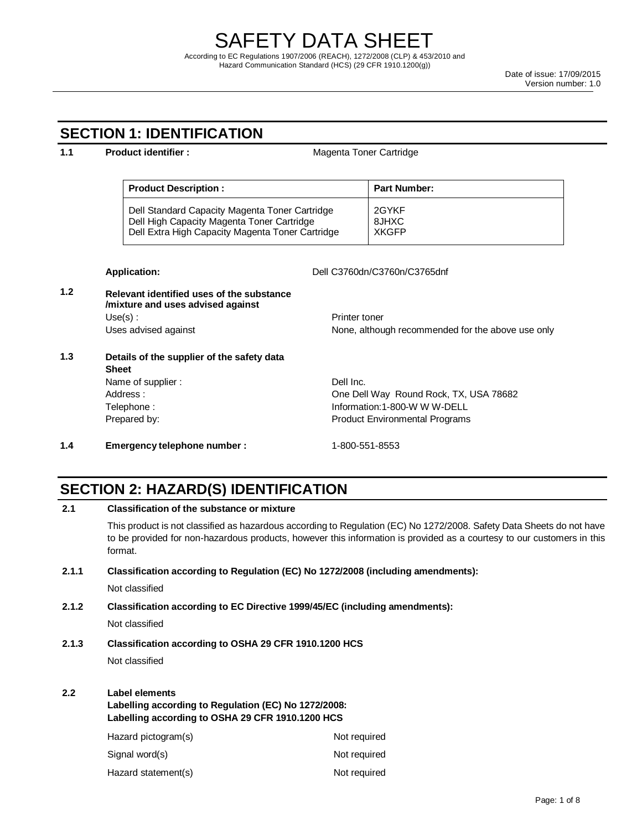## **SECTION 1: IDENTIFICATION**

#### **1.1 Product identifier : Nagenta Toner Cartridge Product Description : Product Description : Part Number:** Dell Standard Capacity Magenta Toner Cartridge Dell High Capacity Magenta Toner Cartridge Dell Extra High Capacity Magenta Toner Cartridge 2GYKF 8JHXC **XKGFP Application:** Dell C3760dn/C3760n/C3765dnf **1.2 Relevant identified uses of the substance /mixture and uses advised against** Use(s) : Uses advised against Printer toner None, although recommended for the above use only **1.3 Details of the supplier of the safety data Sheet** Name of supplier : Address : Telephone : Prepared by: Dell Inc. One Dell Way Round Rock, TX, USA 78682 Information:1-800-W W W-DELL Product Environmental Programs **1.4 Emergency telephone number :** 1-800-551-8553

## **SECTION 2: HAZARD(S) IDENTIFICATION**

**2.1 Classification of the substance or mixture**

| שאוווסש טשושטע טווי וט ושאווטט                                                                                                                 |       |                                                                                  |                                                                                                                                                                                                                                                 |  |
|------------------------------------------------------------------------------------------------------------------------------------------------|-------|----------------------------------------------------------------------------------|-------------------------------------------------------------------------------------------------------------------------------------------------------------------------------------------------------------------------------------------------|--|
|                                                                                                                                                |       | format.                                                                          | This product is not classified as hazardous according to Regulation (EC) No 1272/2008. Safety Data Sheets do not have<br>to be provided for non-hazardous products, however this information is provided as a courtesy to our customers in this |  |
|                                                                                                                                                | 2.1.1 | Classification according to Regulation (EC) No 1272/2008 (including amendments): |                                                                                                                                                                                                                                                 |  |
|                                                                                                                                                |       | Not classified                                                                   |                                                                                                                                                                                                                                                 |  |
|                                                                                                                                                | 2.1.2 | Classification according to EC Directive 1999/45/EC (including amendments):      |                                                                                                                                                                                                                                                 |  |
|                                                                                                                                                |       | Not classified                                                                   |                                                                                                                                                                                                                                                 |  |
| 2.1.3<br>Classification according to OSHA 29 CFR 1910.1200 HCS                                                                                 |       |                                                                                  |                                                                                                                                                                                                                                                 |  |
|                                                                                                                                                |       | Not classified                                                                   |                                                                                                                                                                                                                                                 |  |
| 2.2 <sub>2</sub><br>Label elements<br>Labelling according to Regulation (EC) No 1272/2008:<br>Labelling according to OSHA 29 CFR 1910.1200 HCS |       |                                                                                  |                                                                                                                                                                                                                                                 |  |
|                                                                                                                                                |       | Hazard pictogram(s)                                                              | Not required                                                                                                                                                                                                                                    |  |
|                                                                                                                                                |       | Signal word(s)                                                                   | Not required                                                                                                                                                                                                                                    |  |
|                                                                                                                                                |       | Hazard statement(s)                                                              | Not required                                                                                                                                                                                                                                    |  |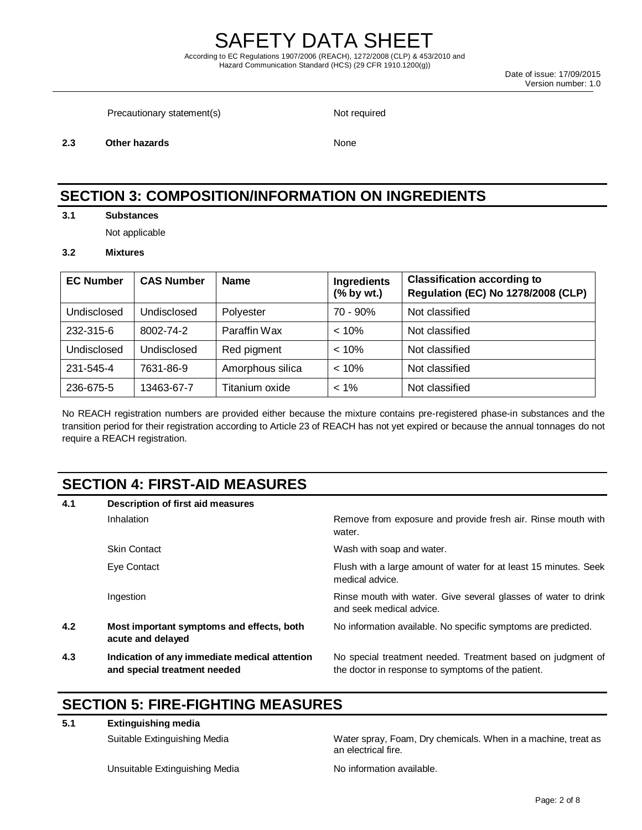Date of issue: 17/09/2015 Version number: 1.0

Precautionary statement(s) Not required

**2.3 Other hazards** None

## **SECTION 3: COMPOSITION/INFORMATION ON INGREDIENTS**

**3.1 Substances**

Not applicable

#### **3.2 Mixtures**

| <b>EC Number</b> | <b>CAS Number</b> | <b>Name</b>      | Ingredients<br>$(%$ by wt.) | <b>Classification according to</b><br><b>Regulation (EC) No 1278/2008 (CLP)</b> |
|------------------|-------------------|------------------|-----------------------------|---------------------------------------------------------------------------------|
| Undisclosed      | Undisclosed       | Polyester        | $70 - 90\%$                 | Not classified                                                                  |
| 232-315-6        | 8002-74-2         | Paraffin Wax     | $< 10\%$                    | Not classified                                                                  |
| Undisclosed      | Undisclosed       | Red pigment      | $< 10\%$                    | Not classified                                                                  |
| 231-545-4        | 7631-86-9         | Amorphous silica | < 10%                       | Not classified                                                                  |
| 236-675-5        | 13463-67-7        | Titanium oxide   | $< 1\%$                     | Not classified                                                                  |

No REACH registration numbers are provided either because the mixture contains pre-registered phase-in substances and the transition period for their registration according to Article 23 of REACH has not yet expired or because the annual tonnages do not require a REACH registration.

## **SECTION 4: FIRST-AID MEASURES**

| 4.1 | Description of first aid measures                                             |                                                                                                                   |  |  |
|-----|-------------------------------------------------------------------------------|-------------------------------------------------------------------------------------------------------------------|--|--|
|     | <b>Inhalation</b>                                                             | Remove from exposure and provide fresh air. Rinse mouth with<br>water.                                            |  |  |
|     | <b>Skin Contact</b>                                                           | Wash with soap and water.                                                                                         |  |  |
|     | Eye Contact                                                                   | Flush with a large amount of water for at least 15 minutes. Seek<br>medical advice.                               |  |  |
|     | Ingestion                                                                     | Rinse mouth with water. Give several glasses of water to drink<br>and seek medical advice.                        |  |  |
| 4.2 | Most important symptoms and effects, both<br>acute and delayed                | No information available. No specific symptoms are predicted.                                                     |  |  |
| 4.3 | Indication of any immediate medical attention<br>and special treatment needed | No special treatment needed. Treatment based on judgment of<br>the doctor in response to symptoms of the patient. |  |  |

## **SECTION 5: FIRE-FIGHTING MEASURES**

**5.1 Extinguishing media**

Unsuitable Extinguishing Media No information available.

Suitable Extinguishing Media Water spray, Foam, Dry chemicals. When in a machine, treat as an electrical fire.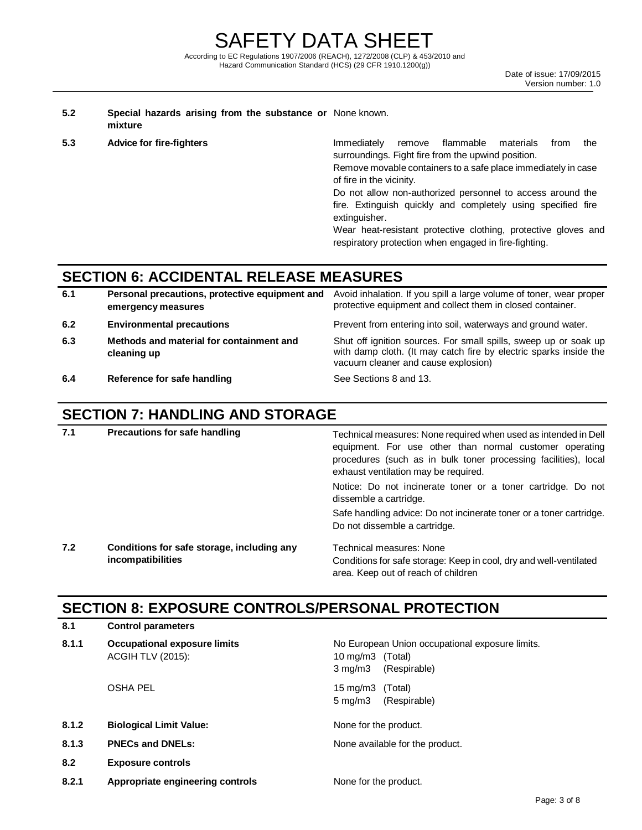#### **5.2 Special hazards arising from the substance or**  None known. **mixture**

**5.3 Advice for fire-fighters IMMED EXAMPLE MEDIATELY** remove flammable materials from the surroundings. Fight fire from the upwind position.

> Remove movable containers to a safe place immediately in case of fire in the vicinity.

> Do not allow non-authorized personnel to access around the fire. Extinguish quickly and completely using specified fire extinguisher.

Wear heat-resistant protective clothing, protective gloves and respiratory protection when engaged in fire-fighting.

# **SECTION 6: ACCIDENTAL RELEASE MEASURES**

| 6.1 | Personal precautions, protective equipment and<br>emergency measures | Avoid inhalation. If you spill a large volume of toner, wear proper<br>protective equipment and collect them in closed container.                                            |
|-----|----------------------------------------------------------------------|------------------------------------------------------------------------------------------------------------------------------------------------------------------------------|
| 6.2 | <b>Environmental precautions</b>                                     | Prevent from entering into soil, waterways and ground water.                                                                                                                 |
| 6.3 | Methods and material for containment and<br>cleaning up              | Shut off ignition sources. For small spills, sweep up or soak up<br>with damp cloth. (It may catch fire by electric sparks inside the<br>vacuum cleaner and cause explosion) |

**6.4 Reference for safe handling See Sections 8 and 13.** 

# **SECTION 7: HANDLING AND STORAGE**

| 7.1 | <b>Precautions for safe handling</b>                            | Technical measures: None required when used as intended in Dell<br>equipment. For use other than normal customer operating<br>procedures (such as in bulk toner processing facilities), local<br>exhaust ventilation may be required. |  |
|-----|-----------------------------------------------------------------|---------------------------------------------------------------------------------------------------------------------------------------------------------------------------------------------------------------------------------------|--|
|     |                                                                 | Notice: Do not incinerate toner or a toner cartridge. Do not<br>dissemble a cartridge.                                                                                                                                                |  |
|     |                                                                 | Safe handling advice: Do not incinerate toner or a toner cartridge.<br>Do not dissemble a cartridge.                                                                                                                                  |  |
| 7.2 | Conditions for safe storage, including any<br>incompatibilities | Technical measures: None<br>Conditions for safe storage: Keep in cool, dry and well-ventilated                                                                                                                                        |  |

area. Keep out of reach of children

# **SECTION 8: EXPOSURE CONTROLS/PERSONAL PROTECTION**

| 8.1   | <b>Control parameters</b>                                       |                                                                                                         |  |
|-------|-----------------------------------------------------------------|---------------------------------------------------------------------------------------------------------|--|
| 8.1.1 | <b>Occupational exposure limits</b><br><b>ACGIH TLV (2015):</b> | No European Union occupational exposure limits.<br>10 mg/m3 (Total)<br>$3 \text{ mg/m}$<br>(Respirable) |  |
|       | <b>OSHA PEL</b>                                                 | 15 mg/m3 (Total)<br>(Respirable)<br>$5 \,\mathrm{mq/m}$                                                 |  |
| 8.1.2 | <b>Biological Limit Value:</b>                                  | None for the product.                                                                                   |  |
| 8.1.3 | <b>PNECs and DNELs:</b>                                         | None available for the product.                                                                         |  |
| 8.2   | <b>Exposure controls</b>                                        |                                                                                                         |  |
| 8.2.1 | Appropriate engineering controls                                | None for the product.                                                                                   |  |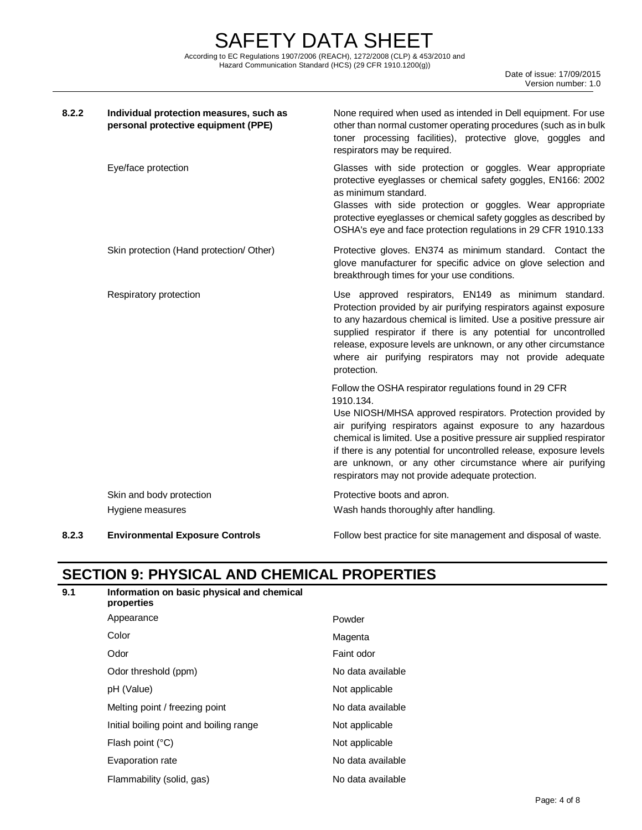SAFETY DATA SHEET According to EC Regulations 1907/2006 (REACH), 1272/2008 (CLP) & 453/2010 and Hazard Communication Standard (HCS) (29 CFR 1910.1200(g))

| 8.2.2 | Individual protection measures, such as<br>personal protective equipment (PPE) | None required when used as intended in Dell equipment. For use<br>other than normal customer operating procedures (such as in bulk<br>toner processing facilities), protective glove, goggles and<br>respirators may be required.                                                                                                                                                                                                                                  |
|-------|--------------------------------------------------------------------------------|--------------------------------------------------------------------------------------------------------------------------------------------------------------------------------------------------------------------------------------------------------------------------------------------------------------------------------------------------------------------------------------------------------------------------------------------------------------------|
|       | Eye/face protection                                                            | Glasses with side protection or goggles. Wear appropriate<br>protective eyeglasses or chemical safety goggles, EN166: 2002<br>as minimum standard.<br>Glasses with side protection or goggles. Wear appropriate<br>protective eyeglasses or chemical safety goggles as described by<br>OSHA's eye and face protection regulations in 29 CFR 1910.133                                                                                                               |
|       | Skin protection (Hand protection/ Other)                                       | Protective gloves. EN374 as minimum standard. Contact the<br>glove manufacturer for specific advice on glove selection and<br>breakthrough times for your use conditions.                                                                                                                                                                                                                                                                                          |
|       | Respiratory protection                                                         | Use approved respirators, EN149 as minimum standard.<br>Protection provided by air purifying respirators against exposure<br>to any hazardous chemical is limited. Use a positive pressure air<br>supplied respirator if there is any potential for uncontrolled<br>release, exposure levels are unknown, or any other circumstance<br>where air purifying respirators may not provide adequate<br>protection.                                                     |
|       |                                                                                | Follow the OSHA respirator regulations found in 29 CFR<br>1910.134.<br>Use NIOSH/MHSA approved respirators. Protection provided by<br>air purifying respirators against exposure to any hazardous<br>chemical is limited. Use a positive pressure air supplied respirator<br>if there is any potential for uncontrolled release, exposure levels<br>are unknown, or any other circumstance where air purifying<br>respirators may not provide adequate protection. |
|       | Skin and body protection                                                       | Protective boots and apron.                                                                                                                                                                                                                                                                                                                                                                                                                                        |
|       | Hygiene measures                                                               | Wash hands thoroughly after handling.                                                                                                                                                                                                                                                                                                                                                                                                                              |
| າາ    | Environmental Evnocura Cantrola                                                | Follow best progrise for site menogement and dispessel of wester                                                                                                                                                                                                                                                                                                                                                                                                   |

**8.2.3 Environmental Exposure Controls Exposure Controls Exposed by Expose Exponse Follow best practice for site management and disposal of waste.** 

# **SECTION 9: PHYSICAL AND CHEMICAL PROPERTIES**

| 9.1 | Information on basic physical and chemical<br>properties |                   |
|-----|----------------------------------------------------------|-------------------|
|     | Appearance                                               | Powder            |
|     | Color                                                    | Magenta           |
|     | Odor                                                     | Faint odor        |
|     | Odor threshold (ppm)                                     | No data available |
|     | pH (Value)                                               | Not applicable    |
|     | Melting point / freezing point                           | No data available |
|     | Initial boiling point and boiling range                  | Not applicable    |
|     | Flash point (°C)                                         | Not applicable    |
|     | Evaporation rate                                         | No data available |
|     | Flammability (solid, gas)                                | No data available |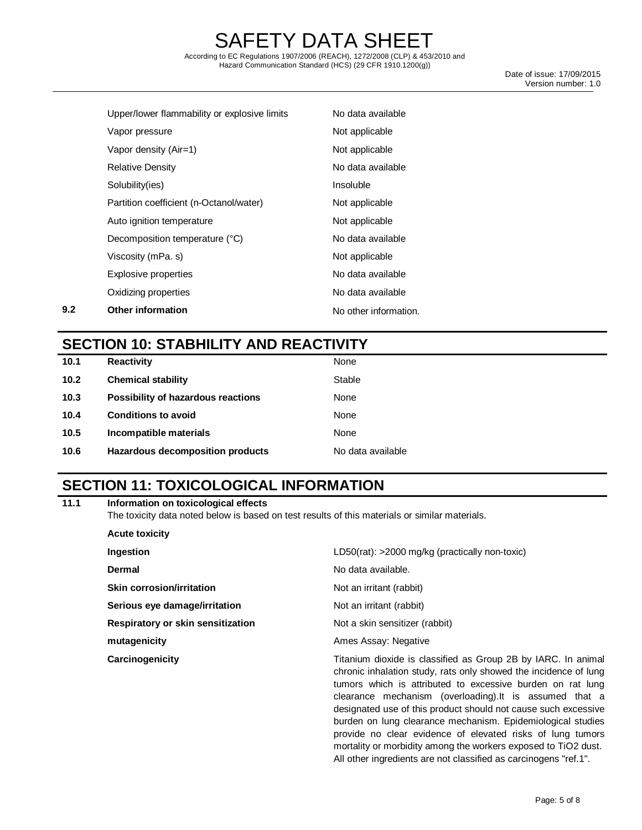According to EC Regulations 1907/2006 (REACH), 1272/2008 (CLP) & 453/2010 and Hazard Communication Standard (HCS) (29 CFR 1910.1200(g))

 Date of issue: 17/09/2015 Version number: 1.0

|     | Upper/lower flammability or explosive limits | No data available     |
|-----|----------------------------------------------|-----------------------|
|     | Vapor pressure                               | Not applicable        |
|     | Vapor density (Air=1)                        | Not applicable        |
|     | <b>Relative Density</b>                      | No data available     |
|     | Solubility(ies)                              | Insoluble             |
|     | Partition coefficient (n-Octanol/water)      | Not applicable        |
|     | Auto ignition temperature                    | Not applicable        |
|     | Decomposition temperature (°C)               | No data available     |
|     | Viscosity (mPa. s)                           | Not applicable        |
|     | Explosive properties                         | No data available     |
|     | Oxidizing properties                         | No data available     |
| 9.2 | <b>Other information</b>                     | No other information. |

## **SECTION 10: STABHILITY AND REACTIVITY**

| 10.1 | <b>Reactivity</b>                  | None              |
|------|------------------------------------|-------------------|
| 10.2 | <b>Chemical stability</b>          | Stable            |
| 10.3 | Possibility of hazardous reactions | None              |
| 10.4 | <b>Conditions to avoid</b>         | None              |
| 10.5 | Incompatible materials             | None              |
| 10.6 | Hazardous decomposition products   | No data available |
|      |                                    |                   |

## **SECTION 11: TOXICOLOGICAL INFORMATION**

| 11.1 | Information on toxicological effects |  |  |
|------|--------------------------------------|--|--|
|      |                                      |  |  |

The toxicity data noted below is based on test results of this materials or similar materials.

| <b>Acute toxicity</b>             |                                                                                                                                                                                                                                                                                                                                                                                                                                                                                                                             |
|-----------------------------------|-----------------------------------------------------------------------------------------------------------------------------------------------------------------------------------------------------------------------------------------------------------------------------------------------------------------------------------------------------------------------------------------------------------------------------------------------------------------------------------------------------------------------------|
| Ingestion                         | LD50(rat): >2000 mg/kg (practically non-toxic)                                                                                                                                                                                                                                                                                                                                                                                                                                                                              |
| Dermal                            | No data available.                                                                                                                                                                                                                                                                                                                                                                                                                                                                                                          |
| Skin corrosion/irritation         | Not an irritant (rabbit)                                                                                                                                                                                                                                                                                                                                                                                                                                                                                                    |
| Serious eye damage/irritation     | Not an irritant (rabbit)                                                                                                                                                                                                                                                                                                                                                                                                                                                                                                    |
| Respiratory or skin sensitization | Not a skin sensitizer (rabbit)                                                                                                                                                                                                                                                                                                                                                                                                                                                                                              |
| mutagenicity                      | Ames Assay: Negative                                                                                                                                                                                                                                                                                                                                                                                                                                                                                                        |
| Carcinogenicity                   | Titanium dioxide is classified as Group 2B by IARC. In animal<br>chronic inhalation study, rats only showed the incidence of lung<br>tumors which is attributed to excessive burden on rat lung<br>clearance mechanism (overloading). It is assumed that a<br>designated use of this product should not cause such excessive<br>burden on lung clearance mechanism. Epidemiological studies<br>provide no clear evidence of elevated risks of lung tumors<br>mortality or morbidity among the workers exposed to TiO2 dust. |

All other ingredients are not classified as carcinogens "ref.1".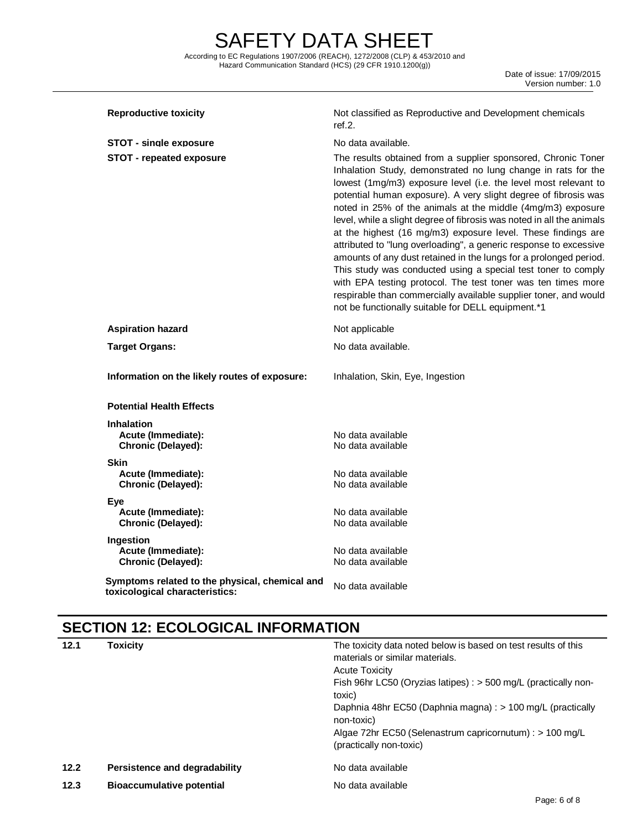Date of issue: 17/09/2015 Version number: 1.0

| <b>Reproductive toxicity</b>                                                     | Not classified as Reproductive and Development chemicals<br>ref.2.                                                                                                                                                                                                                                                                                                                                                                                                                                                                                                                                                                                                                                                                                                                                                                                                                |  |
|----------------------------------------------------------------------------------|-----------------------------------------------------------------------------------------------------------------------------------------------------------------------------------------------------------------------------------------------------------------------------------------------------------------------------------------------------------------------------------------------------------------------------------------------------------------------------------------------------------------------------------------------------------------------------------------------------------------------------------------------------------------------------------------------------------------------------------------------------------------------------------------------------------------------------------------------------------------------------------|--|
| <b>STOT - single exposure</b>                                                    | No data available.                                                                                                                                                                                                                                                                                                                                                                                                                                                                                                                                                                                                                                                                                                                                                                                                                                                                |  |
| <b>STOT - repeated exposure</b>                                                  | The results obtained from a supplier sponsored, Chronic Toner<br>Inhalation Study, demonstrated no lung change in rats for the<br>lowest (1mg/m3) exposure level (i.e. the level most relevant to<br>potential human exposure). A very slight degree of fibrosis was<br>noted in 25% of the animals at the middle (4mg/m3) exposure<br>level, while a slight degree of fibrosis was noted in all the animals<br>at the highest (16 mg/m3) exposure level. These findings are<br>attributed to "lung overloading", a generic response to excessive<br>amounts of any dust retained in the lungs for a prolonged period.<br>This study was conducted using a special test toner to comply<br>with EPA testing protocol. The test toner was ten times more<br>respirable than commercially available supplier toner, and would<br>not be functionally suitable for DELL equipment.*1 |  |
| <b>Aspiration hazard</b>                                                         | Not applicable                                                                                                                                                                                                                                                                                                                                                                                                                                                                                                                                                                                                                                                                                                                                                                                                                                                                    |  |
| <b>Target Organs:</b>                                                            | No data available.                                                                                                                                                                                                                                                                                                                                                                                                                                                                                                                                                                                                                                                                                                                                                                                                                                                                |  |
| Information on the likely routes of exposure:                                    | Inhalation, Skin, Eye, Ingestion                                                                                                                                                                                                                                                                                                                                                                                                                                                                                                                                                                                                                                                                                                                                                                                                                                                  |  |
| <b>Potential Health Effects</b>                                                  |                                                                                                                                                                                                                                                                                                                                                                                                                                                                                                                                                                                                                                                                                                                                                                                                                                                                                   |  |
| <b>Inhalation</b><br>Acute (Immediate):<br>Chronic (Delayed):                    | No data available<br>No data available                                                                                                                                                                                                                                                                                                                                                                                                                                                                                                                                                                                                                                                                                                                                                                                                                                            |  |
| <b>Skin</b><br>Acute (Immediate):<br>Chronic (Delayed):                          | No data available<br>No data available                                                                                                                                                                                                                                                                                                                                                                                                                                                                                                                                                                                                                                                                                                                                                                                                                                            |  |
| Eye<br>Acute (Immediate):<br>Chronic (Delayed):                                  | No data available<br>No data available                                                                                                                                                                                                                                                                                                                                                                                                                                                                                                                                                                                                                                                                                                                                                                                                                                            |  |
| Ingestion<br>Acute (Immediate):<br>Chronic (Delayed):                            | No data available<br>No data available                                                                                                                                                                                                                                                                                                                                                                                                                                                                                                                                                                                                                                                                                                                                                                                                                                            |  |
| Symptoms related to the physical, chemical and<br>toxicological characteristics: | No data available                                                                                                                                                                                                                                                                                                                                                                                                                                                                                                                                                                                                                                                                                                                                                                                                                                                                 |  |

# **SECTION 12: ECOLOGICAL INFORMATION**

| 12.1 | Toxicity                         | The toxicity data noted below is based on test results of this<br>materials or similar materials.<br><b>Acute Toxicity</b><br>Fish 96hr LC50 (Oryzias latipes) : > 500 mg/L (practically non-<br>toxic)<br>Daphnia 48hr EC50 (Daphnia magna) : > 100 mg/L (practically<br>non-toxic)<br>Algae 72hr EC50 (Selenastrum capricornutum) : > 100 mg/L<br>(practically non-toxic) |
|------|----------------------------------|-----------------------------------------------------------------------------------------------------------------------------------------------------------------------------------------------------------------------------------------------------------------------------------------------------------------------------------------------------------------------------|
| 12.2 | Persistence and degradability    | No data available                                                                                                                                                                                                                                                                                                                                                           |
| 12.3 | <b>Bioaccumulative potential</b> | No data available                                                                                                                                                                                                                                                                                                                                                           |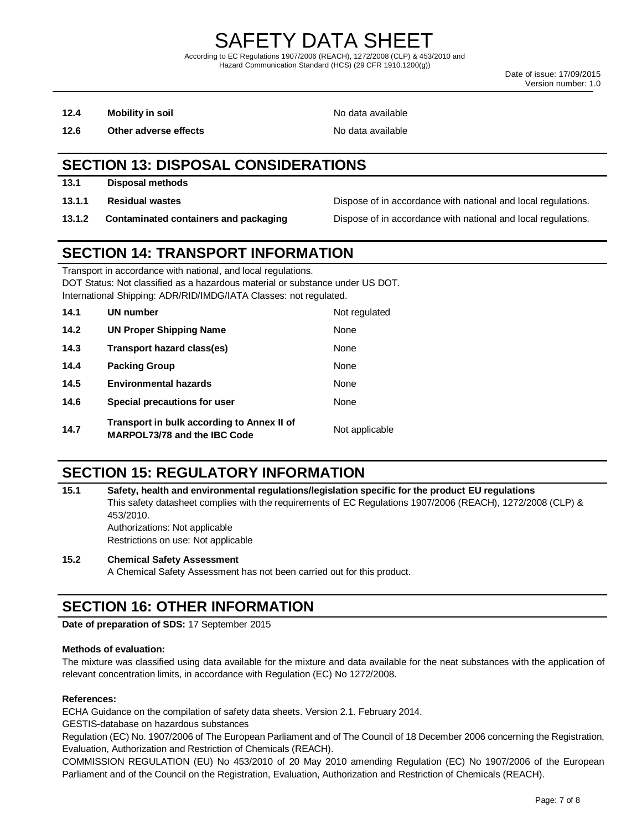Date of issue: 17/09/2015 Version number: 1.0

- **12.4 Mobility in soil 12.4 Mobility in soil**
- **12.6 Other adverse effects No data available No data available**

## **SECTION 13: DISPOSAL CONSIDERATIONS**

- **13.1 Disposal methods**
- 
- 

**13.1.1 Residual wastes Dispose of in accordance with national and local regulations.** 

**13.1.2 Contaminated containers and packaging Dispose of in accordance with national and local regulations.** 

## **SECTION 14: TRANSPORT INFORMATION**

Transport in accordance with national, and local regulations.

DOT Status: Not classified as a hazardous material or substance under US DOT. International Shipping: ADR/RID/IMDG/IATA Classes: not regulated.

| 14.1 | UN number                                                                         | Not regulated  |
|------|-----------------------------------------------------------------------------------|----------------|
| 14.2 | UN Proper Shipping Name                                                           | None           |
| 14.3 | Transport hazard class(es)                                                        | None           |
| 14.4 | <b>Packing Group</b>                                                              | None           |
| 14.5 | <b>Environmental hazards</b>                                                      | None           |
| 14.6 | Special precautions for user                                                      | None           |
| 14.7 | Transport in bulk according to Annex II of<br><b>MARPOL73/78 and the IBC Code</b> | Not applicable |

## **SECTION 15: REGULATORY INFORMATION**

**15.1 Safety, health and environmental regulations/legislation specific for the product EU regulations** This safety datasheet complies with the requirements of EC Regulations 1907/2006 (REACH), 1272/2008 (CLP) & 453/2010. Authorizations: Not applicable Restrictions on use: Not applicable

#### **15.2 Chemical Safety Assessment**

A Chemical Safety Assessment has not been carried out for this product.

## **SECTION 16: OTHER INFORMATION**

**Date of preparation of SDS:** 17 September 2015

#### **Methods of evaluation:**

The mixture was classified using data available for the mixture and data available for the neat substances with the application of relevant concentration limits, in accordance with Regulation (EC) No 1272/2008.

#### **References:**

ECHA Guidance on the compilation of safety data sheets. Version 2.1. February 2014.

GESTIS-database on hazardous substances

Regulation (EC) No. 1907/2006 of The European Parliament and of The Council of 18 December 2006 concerning the Registration, Evaluation, Authorization and Restriction of Chemicals (REACH).

COMMISSION REGULATION (EU) No 453/2010 of 20 May 2010 amending Regulation (EC) No 1907/2006 of the European Parliament and of the Council on the Registration, Evaluation, Authorization and Restriction of Chemicals (REACH).